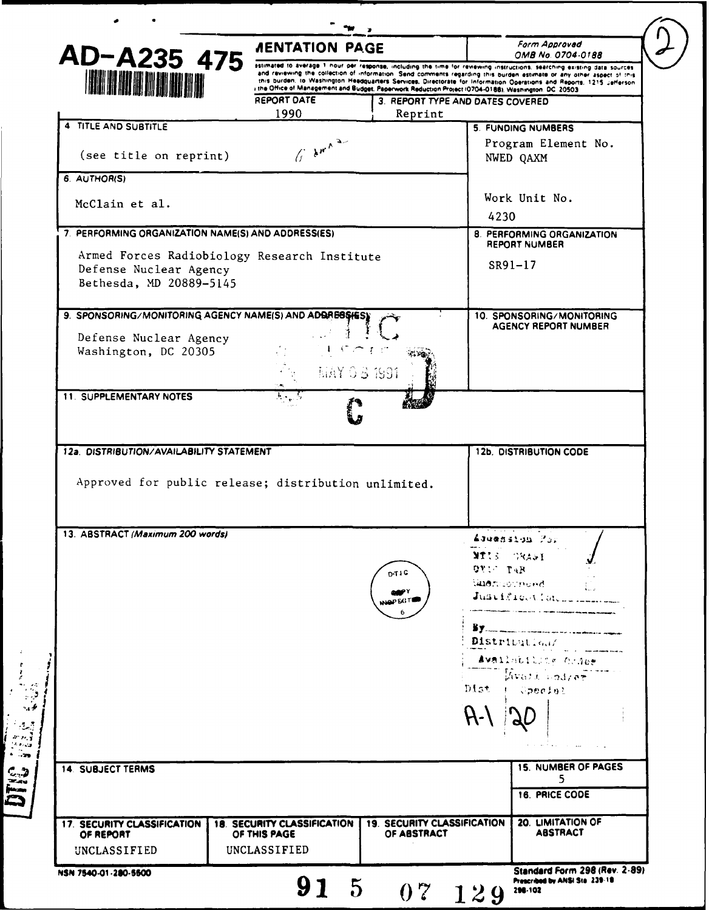|                                                                                                   | <b><i>AENTATION PAGE</i></b>                                                                                                                                                                                                                                                                                                                                                                                                                                                      |                                                   |          | Form Approved                                             |  |
|---------------------------------------------------------------------------------------------------|-----------------------------------------------------------------------------------------------------------------------------------------------------------------------------------------------------------------------------------------------------------------------------------------------------------------------------------------------------------------------------------------------------------------------------------------------------------------------------------|---------------------------------------------------|----------|-----------------------------------------------------------|--|
| AD-A235 475<br><b>A BEATH A</b>                                                                   | astimated to average 1 nour per response, including the time for reviewing instructions, searching existing data sources<br>and reviewing the collection of information. Send comments regarding this burden estimate or any other aspect of this<br>this burden, to Washington Headquarters Services, Directorate for Information Operations and Reports, 1215 Jefferson<br>I the Office of Management and Budget, Paperwork Reduction Project (0704-0188), Washington, DC 20503 |                                                   |          | OMB No. 0704-0188                                         |  |
|                                                                                                   | REPORT DATE<br>1990                                                                                                                                                                                                                                                                                                                                                                                                                                                               | 3. REPORT TYPE AND DATES COVERED<br>Reprint       |          |                                                           |  |
| 4 TITLE AND SUBTITLE                                                                              |                                                                                                                                                                                                                                                                                                                                                                                                                                                                                   |                                                   |          | <b>5. FUNDING NUMBERS</b>                                 |  |
| (see title on reprint)                                                                            | $\int_{0}^{\infty} \left  \hat{\mathbf{y}} \right ^{p} e^{-\mathbf{x}^2/2}$                                                                                                                                                                                                                                                                                                                                                                                                       |                                                   |          | Program Element No.<br>NWED QAXM                          |  |
| 6. AUTHOR(S)                                                                                      |                                                                                                                                                                                                                                                                                                                                                                                                                                                                                   |                                                   |          |                                                           |  |
| McClain et al.                                                                                    |                                                                                                                                                                                                                                                                                                                                                                                                                                                                                   |                                                   | 4230     | Work Unit No.                                             |  |
| 7. PERFORMING ORGANIZATION NAME(S) AND ADDRESS(ES)                                                |                                                                                                                                                                                                                                                                                                                                                                                                                                                                                   |                                                   |          | 8. PERFORMING ORGANIZATION                                |  |
| Armed Forces Radiobiology Research Institute<br>Defense Nuclear Agency<br>Bethesda, MD 20889-5145 |                                                                                                                                                                                                                                                                                                                                                                                                                                                                                   |                                                   |          | <b>REPORT NUMBER</b><br>SR91-17                           |  |
| 9. SPONSORING/MONITORING AGENCY NAME(S) AND ADDRESSIES)                                           |                                                                                                                                                                                                                                                                                                                                                                                                                                                                                   |                                                   |          | 10. SPONSORING/MONITORING<br><b>AGENCY REPORT NUMBER</b>  |  |
| Defense Nuclear Agency                                                                            |                                                                                                                                                                                                                                                                                                                                                                                                                                                                                   |                                                   |          |                                                           |  |
| Washington, DC 20305                                                                              | $\sim$ 1.0 $\sim$                                                                                                                                                                                                                                                                                                                                                                                                                                                                 |                                                   |          |                                                           |  |
|                                                                                                   | MAY 0 3 1991                                                                                                                                                                                                                                                                                                                                                                                                                                                                      |                                                   |          |                                                           |  |
| <b>11. SUPPLEMENTARY NOTES</b>                                                                    | $\overline{\mathcal{H}}_{\mathcal{F}}$ .                                                                                                                                                                                                                                                                                                                                                                                                                                          |                                                   |          |                                                           |  |
|                                                                                                   |                                                                                                                                                                                                                                                                                                                                                                                                                                                                                   |                                                   |          |                                                           |  |
| 12a. DISTRIBUTION/AVAILABILITY STATEMENT<br>Approved for public release; distribution unlimited.  |                                                                                                                                                                                                                                                                                                                                                                                                                                                                                   |                                                   |          | <b>12b. DISTRIBUTION CODE</b>                             |  |
| 13. ABSTRACT (Maximum 200 words)                                                                  |                                                                                                                                                                                                                                                                                                                                                                                                                                                                                   | D-TIG<br><b>QOPY</b>                              | OTIC TAR | Adventation Por<br>MTIS GRASI<br>l <b>iner</b> nsornund i |  |
|                                                                                                   |                                                                                                                                                                                                                                                                                                                                                                                                                                                                                   | WAPEGT                                            |          | Justfloat Marshall                                        |  |
|                                                                                                   |                                                                                                                                                                                                                                                                                                                                                                                                                                                                                   |                                                   |          | Distribution/<br>Availabiling Ornes                       |  |
|                                                                                                   |                                                                                                                                                                                                                                                                                                                                                                                                                                                                                   |                                                   |          | $M$ vazi kodze $\overline{\tau}$<br>Dist ( Special        |  |
|                                                                                                   |                                                                                                                                                                                                                                                                                                                                                                                                                                                                                   |                                                   | $H -$    |                                                           |  |
|                                                                                                   |                                                                                                                                                                                                                                                                                                                                                                                                                                                                                   |                                                   |          |                                                           |  |
| <b>14. SUBJECT TERMS</b>                                                                          |                                                                                                                                                                                                                                                                                                                                                                                                                                                                                   |                                                   |          | <b>15. NUMBER OF PAGES</b><br>5                           |  |
|                                                                                                   |                                                                                                                                                                                                                                                                                                                                                                                                                                                                                   |                                                   |          | 16. PRICE CODE                                            |  |
| 17. SECURITY CLASSIFICATION<br>OF REPORT<br>UNCLASSIFIED                                          | <b>18. SECURITY CLASSIFICATION</b><br>OF THIS PAGE<br>UNCLASSIFIED                                                                                                                                                                                                                                                                                                                                                                                                                | <b>19. SECURITY CLASSIFICATION</b><br>OF ABSTRACT |          | 20. LIMITATION OF<br><b>ABSTRACT</b>                      |  |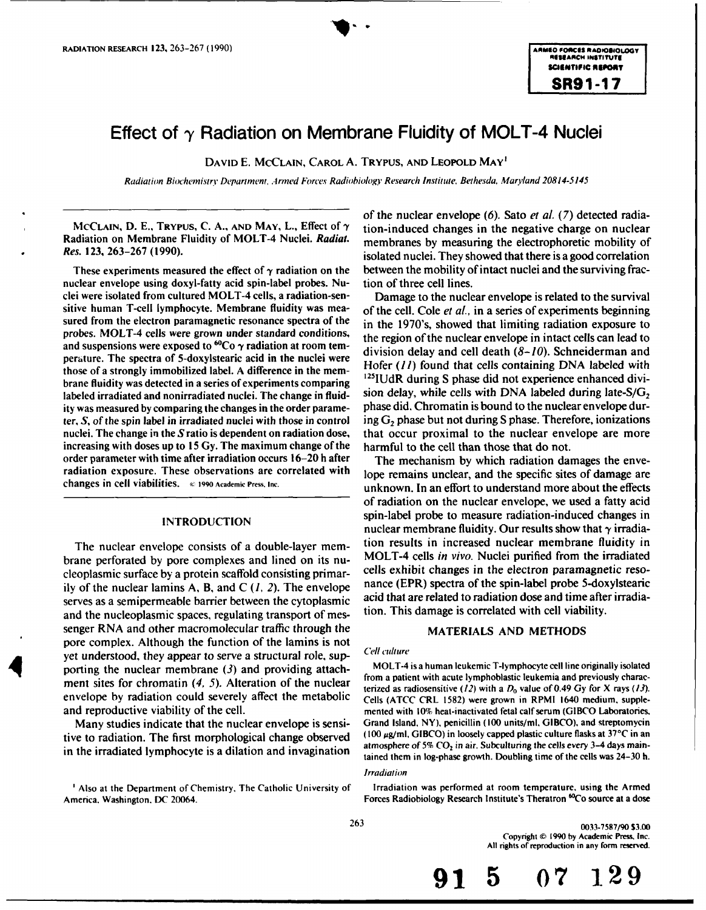# **Effect of y Radiation on Membrane Fluidity of MOLT-4 Nuclei**

**DAVID E. MCCLAIN, CAROL A. TRYPUS, AND LEOPOLD MAY'**

Radiation Biochemistry Department, *A* rmed Forces Radiobiology Research *Institute.* Bethesda, Maryland 20814-5145

Radiation on Membrane Fluidity of MOLT-4 Nuclei. *Radiat.* membranes by measuring the electrophoretic mobility of

nuclear envelope using doxyl-fatty acid spin-label probes. Nu- tion of three cell lines. clei were isolated from cultured MOLT-4 cells, a radiation-sen- Damage to the nuclear envelope is related to the survival sitive human T-cell lymphocyte. Membrane fluidity was mea- of the cell. Cole *et al.,* in a series of experiments beginning sured from the electron paramagnetic resonance spectra of the  $\frac{1}{10}$  the 1970's, showed that limiting radiation exposure to probes. MOLT-4 cells were grown under standard conditions, the region of the nuclear envelope in intact cells can lead to and suspensions were exposed to  ${}^{60}Co \gamma$  radiation at room tem-<br>division delay and cell death  $(8-10)$ . Schneiderman and perature. The spectra of 5-doxylstearic acid in the nuclei were Hofer *(11)* found that cells containing DNA labeled with those of a strongly immobilized label. A difference in the membrane fluidity was detected in a series of experiments comparing  $\frac{122100 \text{K}}{2}$  during S phase did not experience enhanced divi-<br>labeled irradiated and nonirradiated nuclei. The change in fluid-<br>sion delay, while cel labeled irradiated and nonirradiated nuclei. The change in fluid-<br>ity was measured by comparing the changes in the order parame-<br>phase did. Chromatin is bound to the nuclear envelope durity was measured by comparing the changes in the order parameter,  $S$ , of the spin label in irradiated nuclei with those in control ing  $G_2$  phase but not during S phase. Therefore, ionizations nuclei. The change in the  $S$  ratio is dependent on radiation dose, that occur proximal increasing with doses up to **15** Gy. The maximum change of the harmful to the cell than those that do not. order parameter with time after irradiation occurs 16-20 h after The mechanism by which radiation damages the enve-

brane perforated by pore complexes and lined on its nu-<br>cleoplasmic surface by a protein scaffold consisting primar-<br>cells exhibit changes in the electron paramagnetic resoily of the nuclear lamins A, B, and C *(1, 2).* The envelope nance (EPR) spectra of the spin-label probe 5-doxylstearic serves as a semipermeable barrier between the cytoplasmic acid that are related to radiation dose and time after and<br>and the nucleoplasmic spaces, requising transport of mes. tion. This damage is correlated with cell viabi and the nucleoplasmic spaces, regulating transport of messenger RNA and other macromolecular traffic through the MATERIALS AND METHODS pore complex. Although the function of the lamins is not yet understood, they appear to serve a structural role, sup-<br>
yet understood, they appear to serve a structural role, sup-<br>
MOLT-4 is a human leukemic T-lymphocyte cell line originally isolated<br>
MOLT-4 is a human leukemic porting the nuclear membrane (3) and providing attach-<br>from a patient with acute lymphoblastic leukemia and previously charac-<br>from a patient with acute lymphoblastic leukemia and previously characment sites for chromatin  $(4, 5)$ . Alteration of the nuclear from a patient with acute lymphobiastic leukemia and previously charac-<br>terized as radiosensitive  $(12)$  with a  $D_0$  value of 0.49 Gy for X rays  $(13)$ . envelope by radiation could severely affect the metabolic Cells (ATCC CRL 1582) were grown in RPMI 1640 medium, suppleand reproductive viability of the cell. The mented with 10% heat-inactivated fetal calf serum (GIBCO Laboratories,

tive to radiation. The first morphological change observed  $(100 \mu g/ml, GIBCO)$  in loosely capped plastic culture flasks at 37°C in an in the irradiated lymphocyte is a dilation and invagination

of the nuclear envelope (6). Sato *et al.* (7) detected radia-**MCCLAIN, D. E.,** TRYPUS, C. **A.. AND** MAY, L., Effect of **y** tion-induced changes in the negative charge on nuclear **Res. 123, 263-267 (1990).** isolated nuclei. They showed that there is a good correlation These experiments measured the effect of  $\gamma$  radiation on the between the mobility of intact nuclei and the surviving frac-

> $125$ IUdR during S phase did not experience enhanced divithat occur proximal to the nuclear envelope are more

radiation exposure. These observations are correlated with lope remains unclear, and the specific sites of damage are changes in cell viabilities. (e **1990** Academic Press, **Inc.** unknown. In an effort to understand more about the effects of radiation on the nuclear envelope, we used a fatty acid **INTRODUCTION** spin-label probe to measure radiation-induced changes in nuclear membrane fluidity. Our results show that  $\gamma$  irradia-The nuclear envelope consists of a double-layer mem-<br>ane performed by pore complexes and lined on its nu. MOLT-4 cells in vivo. Nuclei purified from the irradiated cleoplasmic surface by a protein scaffold consisting primar-<br>ity of the nuclear lamins  $\Delta$ , B, and  $C(L, 2)$ . The envelope hance (EPR) spectra of the spin-label probe 5-doxylstearic

Many studies indicate that the nuclear envelope is sensi-<br>se to radiation. The first morphological change observed (100 µg/ml, GIBCO) in loosely capped plastic culture flasks at 37°C in an tained them in log-phase growth. Doubling time of the cells was 24-30 h.

### Irradiation

<sup>1</sup> Also at the Department of Chemistry, The Catholic University of Irradiation was performed at room temperature, using the Armed America. Washington. DC 20064. **Forces Radiobiology Research Institute's Theratron <sup>60</sup>Co source at a dose Forces Radiobiology Research Institute's Theratron <sup>60</sup>Co source at a dose** 

263 0033-7587/90 **\$3.00** Copyright (0 **1990 by** Academic Press, **Inc. All** rights **of** reproduction in **any form** reserved.

**91 5 07 129**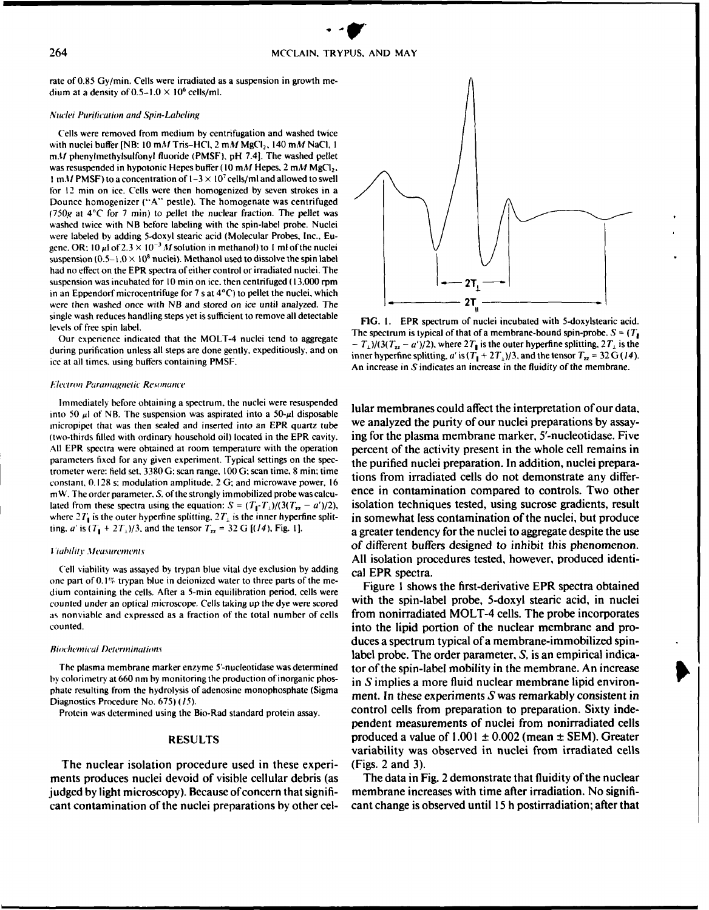rate of 0.85 Gy/min. Cells were irradiated as a suspension in growth medium at a density of  $0.5-1.0 \times 10^6$  cells/ml.

### Nuclei Purilication and Spin-Labeling

Cells were removed from medium **by** centrifugation and washed twice with nuclei buffer **[NB: 10 mM** Tris-HCI, 2 *mM* **MgCI 2,** 140 mM NaCI, **I mM!** phenylmethylsulfonyl fluoride (PMSF), **pH** 7.41. The washed pellet was resuspended in hypotonic Hepes buffer (10 mM Hepes, 2 mM MgCl<sub>2</sub>, 1 m, M PMSF) to a concentration of  $1-3 \times 10^7$  cells/ml and allowed to swell for 12 min on ice. Cells were then homogenized **by** seven strokes in a Dounce homogenizer **("A"** pestle). The homogenate was centrifuged (750g at *4C* for 7 min) to pellet the nuclear fraction. The pellet was washed twice with **NB** before labeling with the spin-label probe. Nuclei were labeled **by** adding 5-doxyl stearic acid (Molecular Probes, Inc., Eugene. OR:  $10 \mu I$  of  $2.3 \times 10^{-3} M$  solution in methanol) to 1 ml of the nuclei suspension  $(0.5-1.0 \times 10^8$  nuclei). Methanol used to dissolve the spin label had no effect on the EPR spectra of either control or irradiated nuclei. The suspension was incubated for **10** min on ice. then centrifuged **( 13,000** rpm 2T1 in an Eppendorf microcentrifuge for 7 s at 4°C) to pellet the nuclei, which were then washed once with NB and stored on ice until analyzed. The  $\frac{1}{1}$ single wash reduces handling steps yet is sufficient to remove all detectable<br> **FIG. 1.** EPR spectrum of nuclei incubated with 5-doxylstearic acid.

### IFectron *Paramnagneic Reonance*

Immediately before obtaining a spectrum, the nuclei were resuspended lular membranes could affect the interpretation of our data, into 50  $\mu$ l of NB. The suspension was aspirated into a 50- $\mu$ l disposable trometer were: field set, 3380 G; scan range, 100 G; scan time, 8 min; time

Cell viability was assayed by trypan blue vital dye exclusion by adding cal EPR spectra. one part of 0.1% trypan blue in deionized water to three parts of the me-<br>Figure 1 shows the first-derivative EPR spectra obtained dium containing the cells. After a 5-min equilibration period, cells were counted under an optical microscope. Cells taking up the dye were scored with the spin-label probe, 5-doxyl stearic acid, in nuclei as nonviable and expressed as a fraction of the total number of cells from nonirradiated MOLT-4 cells. The probe incorporates

### **Biochemical Determinations**

Diagnostics Procedure No. 675) **(15).**

The nuclear isolation procedure used in these experi- (Figs. 2 and **3).** ments produces nuclei devoid of visible cellular debris (as The data in Fig. 2 demonstrate that fluidity of the nuclear judged **by** light microscopy). Because of concern that signifi- membrane increases with time after irradiation. No significant contamination of the nuclei preparations **by** other cel- cant change is observed until **15** h postirradiation; after that



levels of free spin label.<br>The spectrum is typical of that of a membrane-bound spin-probe.  $S = (T_1 - T_2)$ Our experience indicated that the MOLT-4 nuclei tend to aggregate  $-I_1$ )/(3( $T_a - a'$ )/2), where  $2T_1$  is the outer hyperfine splitting,  $2T_1$  is the outer hyperfine splitting,  $2T_1$  is the during purification unless all steps are done gently, expeditiously, and on inner hyperfine splitting,  $a'$  is  $(T_1 + 2T_1)/3$ , and the tensor  $T_n = 32 \text{ G} (14)$ . An increase in  $S$  indicates an increase in the fluidity of the membrane.

micropipet that was then sealed and inserted into an EPR quartz tube we analyzed the purity of our nuclei preparations by assay-(two-thirds filled with ordinary household oil) located in the EPR cavity. ing for the plasma membrane marker, 5'-nucleotidase. Five All EPR spectra were obtained at room temperature with the operation percent of the activity present in the whole cell remains in parameters fixed for any given experiment. Typical settings on the spec-<br>the purified nuclei preparation. In addition, nuclei preparaconstant. 0.128 s. modulation amplitude. 2 **G;** and microwave power. 16 tions from irradiated cells do **not** demonstrate any differmW. The order parameter. S. of the strongly immobilized probe was calcu-<br>ence in contamination compared to controls. Two other lated from these spectra using the equation:  $S = (T_1 - T_1)/(3(T_2 - a')/2)$ , isolation techniques tested, using sucrose gradients, result where  $2T_1$  is the outer hyperfine splitting.  $2T_1$  is the inner hyperfine split- in somewhat less contamination of the nuclei, but produce ting. *a'* is  $(T_1 + 2T_1)/3$ , and the tensor  $T_{12} = 32$  G  $[(14)$ . Fig. 1]. a greater tendency for the nuclei to aggregate despite the use **Tiahility Measurements of different buffers designed to inhibit this phenomenon. All** isolation procedures tested, however, produced identi-

counted. into the lipid portion of the nuclear membrane and produces a spectrum typical of a membrane-immobilized spinlabel probe. The order parameter, S, is an empirical indica-The plasma membrane marker enzyme 5'-nucleotidase was determined tor **of** the spin-label mobility in the membrane. An increase **by** colorimetry at **660** nm **by** monitoring the production of inorganic phos- in **S** implies a more fluid nuclear membrane lipid environphate resulting from the hydrolysis of adenosine monophosphate (Sigma ment. In these experiments S was remarkably consistent in Protein was determined using the Bio-Rad standard protein assay. control cells from preparation to preparation. Sixty independent measurements of nuclei from nonirradiated cells **RESULTS** produced a value of **1.001 ±** 0.002 (mean **± SEM).** Greater variability was observed in nuclei from irradiated cells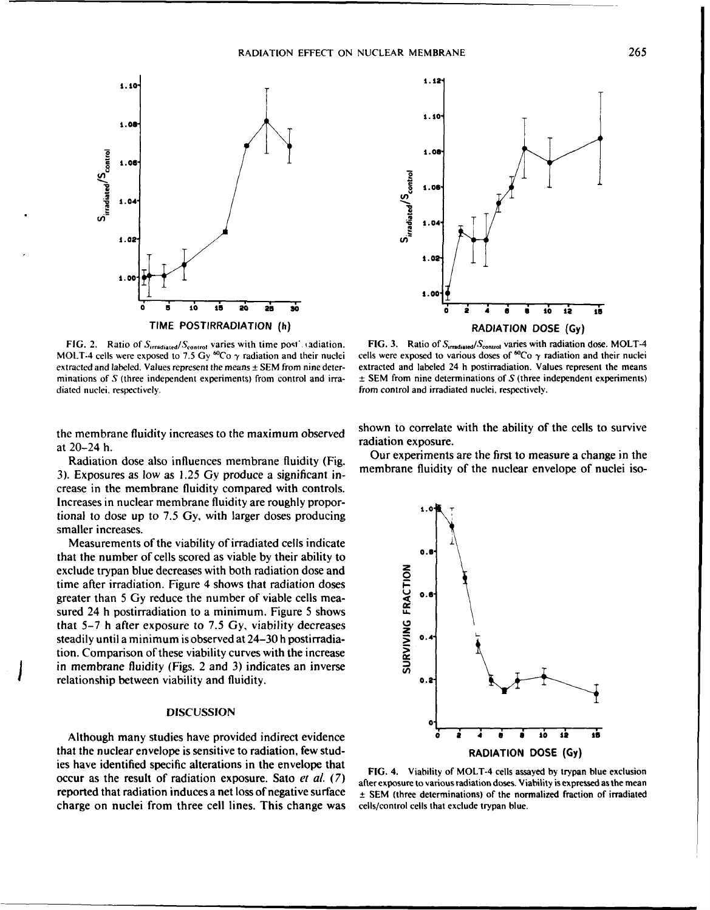

diated nuclei, respectively. The control and irradiated nuclei, respectively, the control and irradiated nuclei, respectively.



FIG. 2. Ratio of S<sub>irradiated</sub>/S<sub>control</sub> varies with time post. adiation. **FIG. 3.** Ratio of S<sub>irradiated</sub>/S<sub>control</sub> varies with radiation dose. MOLT-4 MOLT-4 cells were exposed to 7.5 Gy <sup>60</sup>Co  $\gamma$  radiation and their nuclei cells were exposed to various doses of <sup>60</sup>Co  $\gamma$  radiation and their nuclei extracted and labeled. Values represent the means **±** SEM from nine deter- extracted and labeled 24 h postirradiation. Values represent the means minations of S (three independent experiments) from control and irra- **±** SEM from nine determinations of S (three independent experiments)

the membrane fluidity increases to the maximum observed  $\frac{\text{subwin of}}{\text{radiation exposure}}$ .

3). Exposures as low as  $1.25$  Gy produce a significant increase in the membrane fluidity compared with controls. Increases in nuclear membrane fluidity are roughly propor- **1.0** tional to dose up to 7.5 Gy, with larger doses producing smaller increases.

Measurements of the viability of irradiated cells indicate that the number of cells scored as viable by their ability to **0.8.** exclude trypan blue decreases with both radiation dose and time after irradiation. Figure 4 shows that radiation doses **EXECUTE THE EXECUTE THE CONCRETERT OF THE SET OF THE SET OF THE STATE OF THE STATE OF STATE STATE OF 1 and started 24 h postirradiation to a minimum. Figure 5 shows that 5–7 h after exposure to 7.5 Gy, viability decreases** sured 24 h postirradiation to a minimum. Figure 5 shows that **5-7** h after exposure to 7.5 **Gy,** viability decreases steadily until a minimum is observed at 24-30 h postirradia- **5** 0.4 tion. Comparison of these viability curves with the increase in membrane fluidity (Figs. 2 and 3) indicates an inverse relationship between viability and fluidity. **0.2-**

## DISCUSSION

that the nuclear envelope is sensitive to radiation, few stud-<br>RADIATION DOSE (Gy) ies have identified specific alterations in the envelope that **FIG.** 4. Viability of MOLT-4 cells assayed by trypan blue exclusion occur as the result of radiation exposure. Sato et al. **(7)** after exposure to various radiation doses. Viability isexpressed asthe mean reported that radiation induces a net loss of negative surface **+ SEM** (three determinations) of the normalized fraction of irradiated charge on nuclei from three cell lines. This change was cells/control cells that exclude trypan blue.

shown to correlate with the ability of the cells to survive

at 20–24 h.<br>Radiation dose also influences membrane fluidity (Fig. Our experiments are the first to measure a change in the<br>Registered and the membrane fluidity of the nuclear envelope of nuclei iso-<br>Registered and the mem

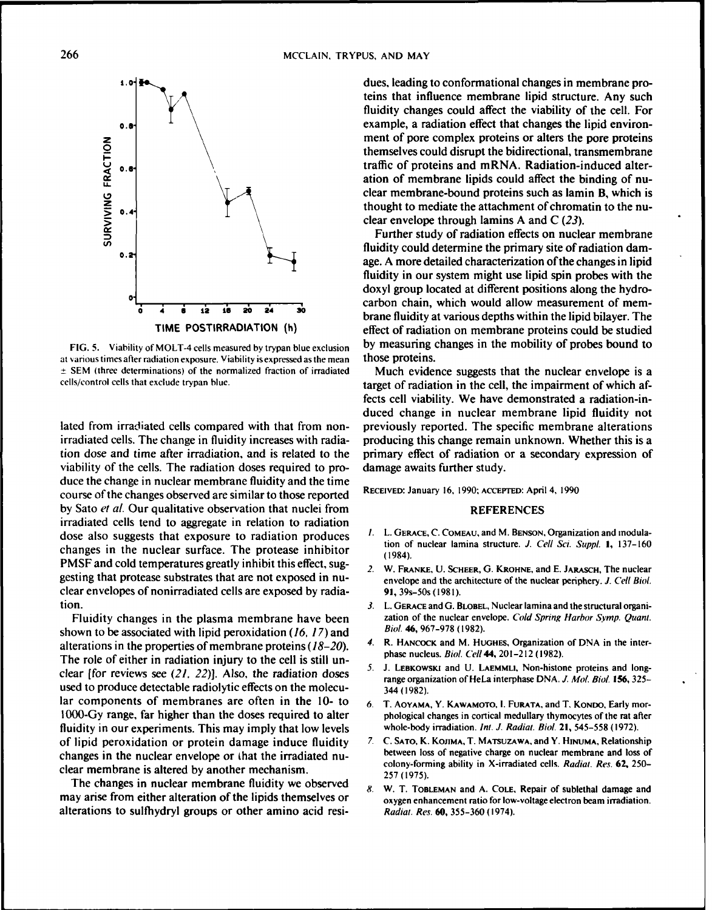

at various times after radiation exposure. Viability is expressed as the mean those proteins. **+ SEM** (three determinations) of the normalized fraction of irradiated Much evidence suggests that the nuclear envelope is a

viability of the cells. The radiation doses required to pro- damage awaits further study. duce the change in nuclear membrane fluidity and the time course of the changes observed are similar to those reported **RECEIVED: January 16. 1990: ACCEPTED: April** 4, 1990 by Sato *et al.* Our qualitative observation that nuclei from REFERENCES irradiated cells tend to aggregate in relation to radiation dose also suggests that exposure to radiation produces *I.* L. **GERACE,** *C.* **COMEAU,** and M. **BENSON,** Organization and modulachanges in the nuclear surface. The protease inhibitor (1984). PMSF and cold temperatures greatly inhibit this effect, sug-<br>
2. W. FRANKE, U. SCHEER, G. KROHNE, and E. JARASCH, The nuclear gesting that protease substrates that are not exposed in nu-<br>envelope and the architecture of the nuclear periphery. *J. Cell Biol.* clear envelopes of nonirradiated cells are exposed **by** radia- **91,** 39s-50s (1981). tion. **3.** L. **GERACE** and G. BLOBEL, Nuclear lamina and the structural organi-

shown to be associated with lipid peroxidation (16, 17) and alterations in the properties of membrane proteins  $(18-20)$ . 4. R. HANCOCK and M. HUGHES, Organization of DNA in the inter-<br>The role of either in rediction injury to the call is still up. The role of either in radiation injury to the cell is still un-<br>
S. J. LEBKOWSKI and U. LAEMMLI, Non-histone proteins and long-<br>
S. J. LEBKOWSKI and U. LAEMMLI, Non-histone proteins and longclear [for reviews see (21, 22)]. Also, the radiation doses used to produce detectable radiolytic effects on the molecu-  $\frac{344}{344}$  (1982). lar components of membranes are often in the 10- to 6. T. AOYAMA, Y. KAWAMOTO, I. FURATA, and T. KONDO, Early mor-1000-Gy range, far higher than the doses required to alter phological changes in cortical medullary thymocytes of the rat after fluidity in our experiments. This may imply that low levels whole-body irradiation. *Inl. J.* Radiat. Biol. **21, 545-558 (1972).** of lipid peroxidation or protein damage induce fluidity *7.* **C. SATO,** K. **KOJIMA,** T. **MATSUZAWA,** andY. **HINUMA,** Relationship changes in the nuclear envelope or that the irradiated nu-<br>
colony-forming ability in X-irradiated cells. Radiat. Res. 62, 250-<br>
colony-forming ability in X-irradiated cells. Radiat. Res. 62, 250-

The **changes in nuclear membrane fluidity we** observed *8.* **W. T. TOBLEMAN** and **A. COLE,** Repair of sublethal damage and may arise from either alteration of the lipids themselves or oxygen enhancement ratio for low-voltage electron beam irradiation. alterations to sulfhydryl groups or other amino acid resi- Radiat. *Res.* **60, 355-360** (1974).

**L.0** dues, leading to conformational changes in membrane proteins that influence membrane lipid structure. Any such fluidity changes could affect the viability of the cell. For **1** example, a radiation effect that changes the lipid environ-<br>ment of pore complex proteins or alters the pore proteins **<sup>Z</sup>**ment of pore complex proteins or alters the pore proteins **\_** themselves could disrupt the bidirectional, transmembrane **U 1. U Let us a traffic of proteins and mRNA. Radiation-induced alter**ation of membrane lipids could affect the binding of nuclear membrane-bound proteins such as lamin B, which is **1.4** Solution 1.4, Separate the state the attachment of chromatin to the nuclear envelope through lamins A and  $C(23)$ .

Further study of radiation effects on nuclear membrane  $\theta$ . Fig. 1. Thuidity could determine the primary site of radiation dam-**0.2** age. A more detailed characterization of the changes in lipid fluidity in our system might use lipid spin probes with the doxyl group located at different positions along the hydrocarbon chain, which would allow measurement of mem-<br>brane fluidity at various depths within the lipid bilayer. The TIME POSTIRRADIATION **(h)** effect of radiation on membrane proteins could be studied **FIG. 5. Viability** of MOLT-4 cells measured **by** trypan blue exclusion **by** measuring changes in the mobility of probes bound to

cells/control cells that exclude trypan blue. target of radiation in the cell, the impairment of which affects cell viability. We have demonstrated a radiation-induced change in nuclear membrane lipid fluidity not lated from irradiated cells compared with that from non- previously reported. The specific membrane alterations irradiated cells. The change in fluidity increases with radia- producing this change remain unknown. Whether this is a tion dose and time after irradiation, and is related to the primary effect of radiation or a secondary expression of

- 
- 
- Fluidity changes in the plasma membrane have been zation of the nuclear envelope. Cold Spring Harbor Symp. Quant.<br>Only to be associated with linid peroxidation (16, 17) and Biol. 46, 967-978 (1982).
	-
	- range organization of HeLa interphase **DNA.** *J* Mol. Biol. **156, 325-**
	-
- clear membrane is altered by another mechanism.<br>257 (1975).<br> **The ncler hands method of the national Colony-forming ability in X-irradiated cells. Radiat. Res. <b>62, 250** 
	-